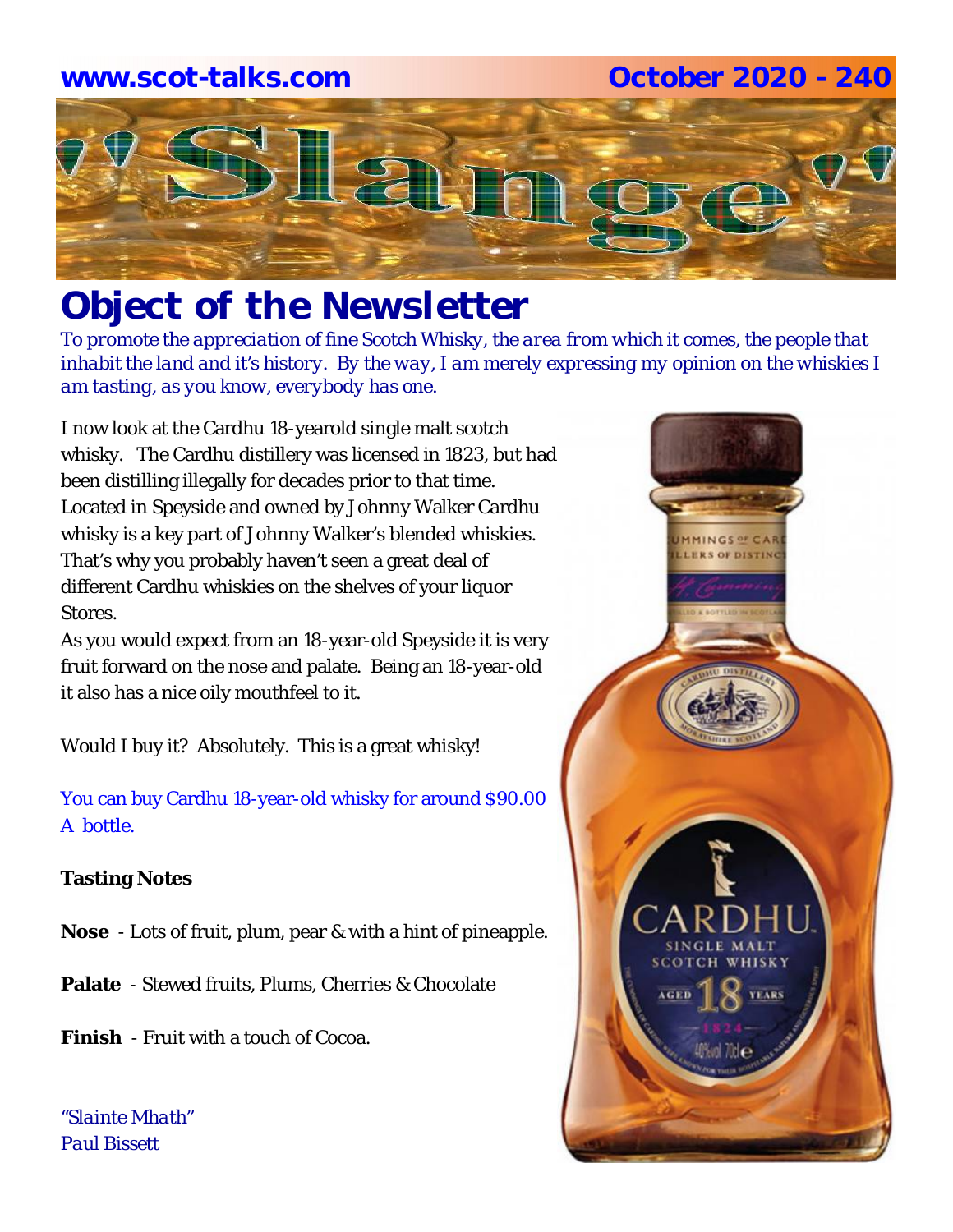# **www.scot-talks.com October 2020 - 240**



# *Object of the Newsletter*

*To promote the appreciation of fine Scotch Whisky, the area from which it comes, the people that inhabit the land and it's history. By the way, I am merely expressing my opinion on the whiskies I am tasting, as you know, everybody has one.* 

I now look at the Cardhu 18-yearold single malt scotch whisky. The Cardhu distillery was licensed in 1823, but had been distilling illegally for decades prior to that time. Located in Speyside and owned by Johnny Walker Cardhu whisky is a key part of Johnny Walker's blended whiskies. That's why you probably haven't seen a great deal of different Cardhu whiskies on the shelves of your liquor Stores.

As you would expect from an 18-year-old Speyside it is very fruit forward on the nose and palate. Being an 18-year-old it also has a nice oily mouthfeel to it.

Would I buy it? Absolutely. This is a great whisky!

You can buy Cardhu 18-year-old whisky for around \$90.00 A bottle.

### **Tasting Notes**

- **Nose**  Lots of fruit, plum, pear & with a hint of pineapple.
- **Palate**  Stewed fruits, Plums, Cherries & Chocolate

**Finish** - Fruit with a touch of Cocoa.

*"Slainte Mhath" Paul Bissett*

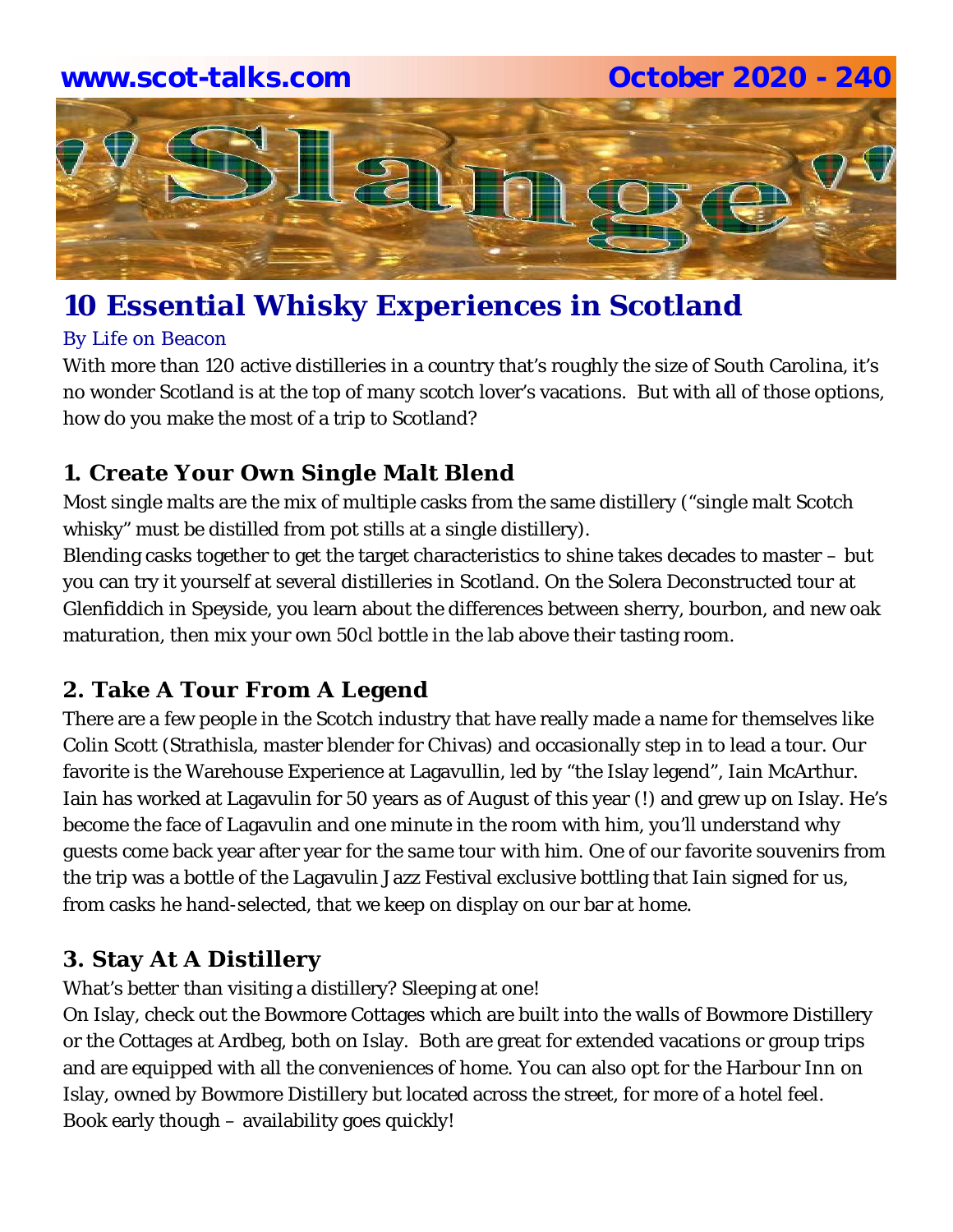# **www.scot-talks.com October 2020 - 240**



# **10 Essential Whisky Experiences in Scotland**

### By Life on Beacon

With more than 120 active distilleries in a country that's roughly the size of South Carolina, it's no wonder Scotland is at the top of many scotch lover's vacations. But with all of those options, how do you make the most of a trip to Scotland?

### **1. Create Your Own Single Malt Blend**

Most single malts are the mix of multiple casks from the same distillery ("single malt Scotch whisky" must be distilled from pot stills at a single distillery).

Blending casks together to get the target characteristics to shine takes decades to master – but you can try it yourself at several distilleries in Scotland. On the Solera Deconstructed tour at Glenfiddich in Speyside, you learn about the differences between sherry, bourbon, and new oak maturation, then mix your own 50cl bottle in the lab above their tasting room.

### **2. Take A Tour From A Legend**

There are a few people in the Scotch industry that have really made a name for themselves like Colin Scott (Strathisla, master blender for Chivas) and occasionally step in to lead a tour. Our favorite is the Warehouse Experience at Lagavullin, led by "the Islay legend", Iain McArthur. Iain has worked at Lagavulin for 50 years as of August of this year (!) and grew up on Islay. He's become the face of Lagavulin and one minute in the room with him, you'll understand why guests come back year after year for *the same tour with him*. One of our favorite souvenirs from the trip was a bottle of the Lagavulin Jazz Festival exclusive bottling that Iain signed for us, from casks he hand-selected, that we keep on display on our bar at home.

### **3. Stay At A Distillery**

What's better than visiting a distillery? Sleeping at one!

On Islay, check out the Bowmore Cottages which are built into the walls of Bowmore Distillery or the Cottages at Ardbeg, both on Islay. Both are great for extended vacations or group trips and are equipped with all the conveniences of home. You can also opt for the Harbour Inn on Islay, owned by Bowmore Distillery but located across the street, for more of a hotel feel. Book early though – availability goes quickly!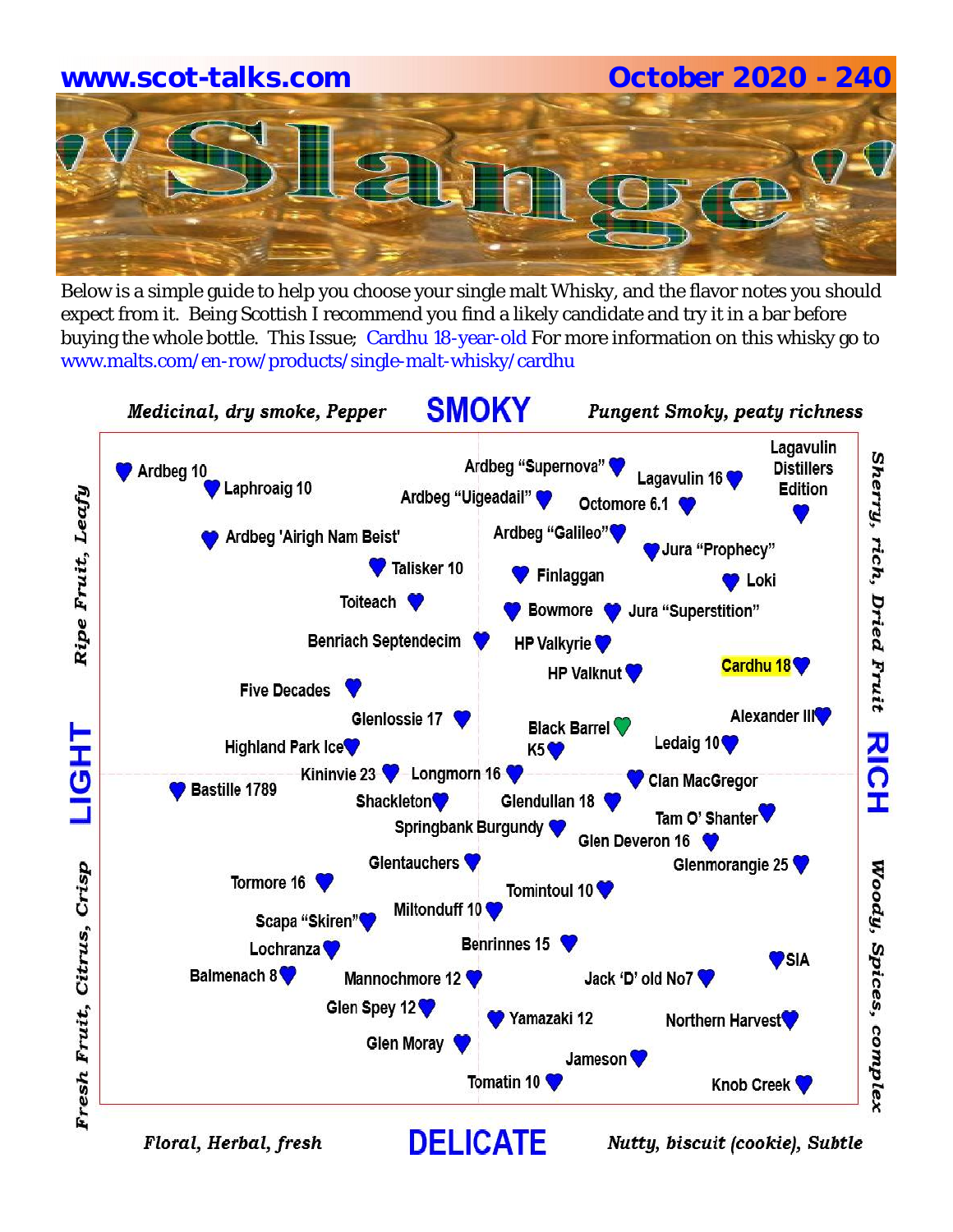# **www.scot-talks.com October 2020 - 240**

Below is a simple guide to help you choose your single malt Whisky, and the flavor notes you should expect from it. Being Scottish I recommend you find a likely candidate and try it in a bar before buying the whole bottle. This Issue; Cardhu 18-year-old For more information on this whisky go to www.malts.com/en-row/products/single-malt-whisky/cardhu



Floral, Herbal, fresh

Nutty, biscuit (cookie), Subtle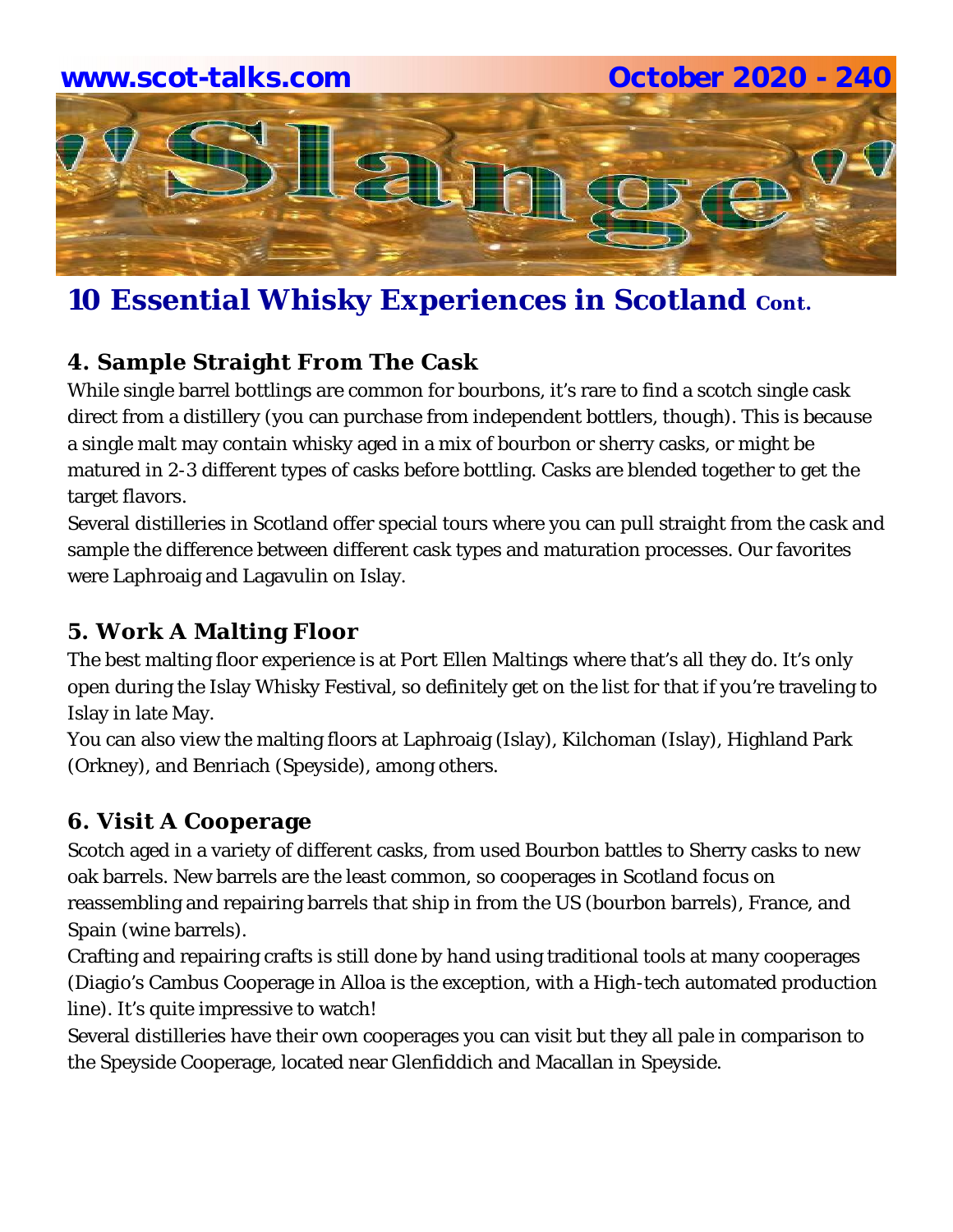

# **10 Essential Whisky Experiences in Scotland Cont.**

## **4. Sample Straight From The Cask**

While single barrel bottlings are common for bourbons, it's rare to find a scotch single cask direct from a distillery (you can purchase from independent bottlers, though). This is because a single malt may contain whisky aged in a mix of bourbon or sherry casks, or might be matured in 2-3 different types of casks before bottling. Casks are blended together to get the target flavors.

Several distilleries in Scotland offer special tours where you can pull straight from the cask and sample the difference between different cask types and maturation processes. Our favorites were Laphroaig and Lagavulin on Islay.

### **5. Work A Malting Floor**

The *best* malting floor experience is at Port Ellen Maltings where that's all they do. It's only open during the Islay Whisky Festival, so definitely get on the list for that if you're traveling to Islay in late May.

You can also view the malting floors at Laphroaig (Islay), Kilchoman (Islay), Highland Park (Orkney), and Benriach (Speyside), among others.

### **6. Visit A Cooperage**

Scotch aged in a variety of different casks, from used Bourbon battles to Sherry casks to new oak barrels. New barrels are the least common, so cooperages in Scotland focus on reassembling and repairing barrels that ship in from the US (bourbon barrels), France, and Spain (wine barrels).

Crafting and repairing crafts is still done by hand using traditional tools at many cooperages (Diagio's Cambus Cooperage in Alloa is the exception, with a High-tech automated production line). It's quite impressive to watch!

Several distilleries have their own cooperages you can visit but they all pale in comparison to the Speyside Cooperage, located near Glenfiddich and Macallan in Speyside.